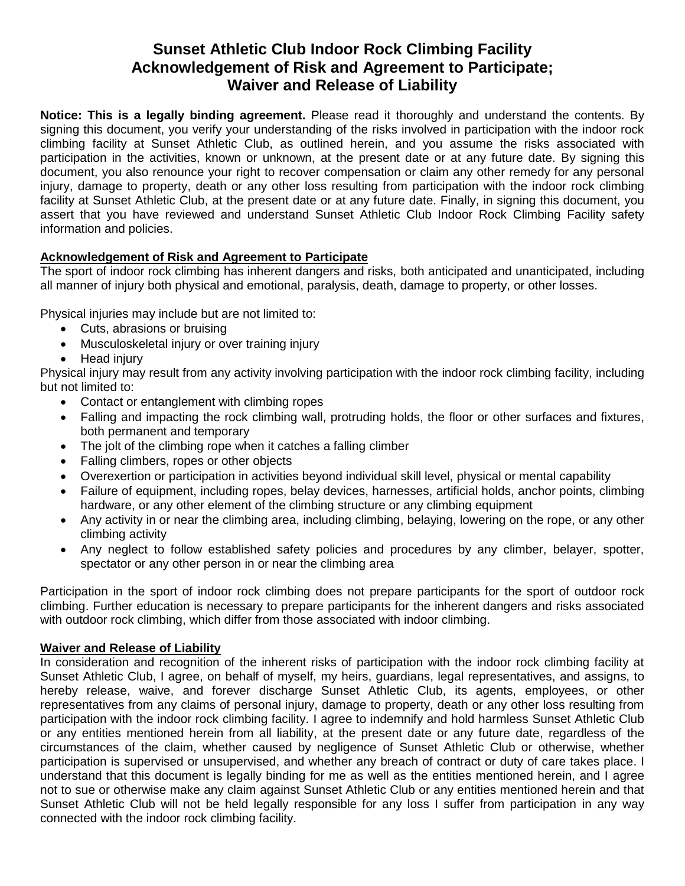## **Sunset Athletic Club Indoor Rock Climbing Facility Acknowledgement of Risk and Agreement to Participate; Waiver and Release of Liability**

**Notice: This is a legally binding agreement.** Please read it thoroughly and understand the contents. By signing this document, you verify your understanding of the risks involved in participation with the indoor rock climbing facility at Sunset Athletic Club, as outlined herein, and you assume the risks associated with participation in the activities, known or unknown, at the present date or at any future date. By signing this document, you also renounce your right to recover compensation or claim any other remedy for any personal injury, damage to property, death or any other loss resulting from participation with the indoor rock climbing facility at Sunset Athletic Club, at the present date or at any future date. Finally, in signing this document, you assert that you have reviewed and understand Sunset Athletic Club Indoor Rock Climbing Facility safety information and policies.

## **Acknowledgement of Risk and Agreement to Participate**

The sport of indoor rock climbing has inherent dangers and risks, both anticipated and unanticipated, including all manner of injury both physical and emotional, paralysis, death, damage to property, or other losses.

Physical injuries may include but are not limited to:

- Cuts, abrasions or bruising
- Musculoskeletal injury or over training injury
- Head injury

Physical injury may result from any activity involving participation with the indoor rock climbing facility, including but not limited to:

- Contact or entanglement with climbing ropes
- Falling and impacting the rock climbing wall, protruding holds, the floor or other surfaces and fixtures, both permanent and temporary
- The jolt of the climbing rope when it catches a falling climber
- Falling climbers, ropes or other objects
- Overexertion or participation in activities beyond individual skill level, physical or mental capability
- Failure of equipment, including ropes, belay devices, harnesses, artificial holds, anchor points, climbing hardware, or any other element of the climbing structure or any climbing equipment
- Any activity in or near the climbing area, including climbing, belaying, lowering on the rope, or any other climbing activity
- Any neglect to follow established safety policies and procedures by any climber, belayer, spotter, spectator or any other person in or near the climbing area

Participation in the sport of indoor rock climbing does not prepare participants for the sport of outdoor rock climbing. Further education is necessary to prepare participants for the inherent dangers and risks associated with outdoor rock climbing, which differ from those associated with indoor climbing.

## **Waiver and Release of Liability**

In consideration and recognition of the inherent risks of participation with the indoor rock climbing facility at Sunset Athletic Club, I agree, on behalf of myself, my heirs, guardians, legal representatives, and assigns, to hereby release, waive, and forever discharge Sunset Athletic Club, its agents, employees, or other representatives from any claims of personal injury, damage to property, death or any other loss resulting from participation with the indoor rock climbing facility. I agree to indemnify and hold harmless Sunset Athletic Club or any entities mentioned herein from all liability, at the present date or any future date, regardless of the circumstances of the claim, whether caused by negligence of Sunset Athletic Club or otherwise, whether participation is supervised or unsupervised, and whether any breach of contract or duty of care takes place. I understand that this document is legally binding for me as well as the entities mentioned herein, and I agree not to sue or otherwise make any claim against Sunset Athletic Club or any entities mentioned herein and that Sunset Athletic Club will not be held legally responsible for any loss I suffer from participation in any way connected with the indoor rock climbing facility.